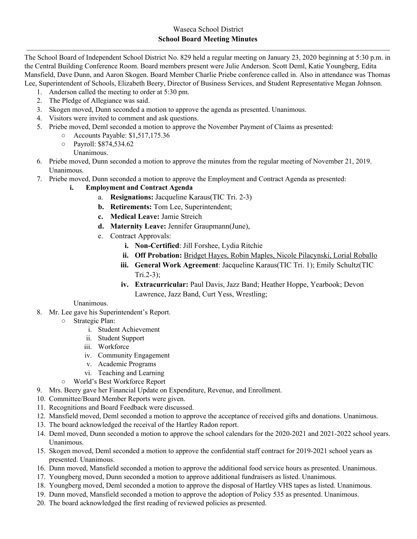The School Board of Independent School District No. 829 held a regular meeting on January 23, 2020 beginning at 5:30 p.m. in the Central Building Conference Room. Board members present were Julie Anderson. Scott Deml, Katie Youngberg, Edita Mansfield, Dave Dunn, and Aaron Skogen. Board Member Charlie Priebe conference called in. Also in attendance was Thomas Lee, Superintendent of Schools, Elizabeth Beery, Director of Business Services, and Student Representative Megan Johnson.

- 1. Anderson called the meeting to order at 5:30 pm.
- 2. The Pledge of Allegiance was said.
- 3. Skogen moved, Dunn seconded a motion to approve the agenda as presented. Unanimous.
- 4. Visitors were invited to comment and ask questions.
- 5. Priebe moved, Deml seconded a motion to approve the November Payment of Claims as presented:
	- Accounts Payable: \$1,517,175.36
	- Payroll: \$874,534.62
		- Unanimous.
- 6. Priebe moved, Dunn seconded a motion to approve the minutes from the regular meeting of November 21, 2019. Unanimous.
- 7. Priebe moved, Dunn seconded a motion to approve the Employment and Contract Agenda as presented:
	- **i. Employment and Contract Agenda**
		- a. **Resignations:** Jacqueline Karaus(TIC Tri. 2-3)
		- **b. Retirements:** Tom Lee, Superintendent;
		- **c. Medical Leave:** Jamie Streich
		- **d. Maternity Leave:** Jennifer Graupmann(June),
		- e. Contract Approvals:
			- **i. Non-Certified**: Jill Forshee, Lydia Ritchie
			- **ii. Off Probation:** Bridget Hayes, Robin Maples, Nicole Pilacynski, Lorial Roballo
			- **iii. General Work Agreement**: Jacqueline Karaus(TIC Tri. 1); Emily Schultz(TIC Tri.2-3);
			- **iv. Extracurricular:** Paul Davis, Jazz Band; Heather Hoppe, Yearbook; Devon Lawrence, Jazz Band, Curt Yess, Wrestling;

## Unanimous.

- 8. Mr. Lee gave his Superintendent's Report.
	- Strategic Plan:
		- i. Student Achievement
		- ii. Student Support
		- iii. Workforce
		- iv. Community Engagement
		- v. Academic Programs
		- vi. Teaching and Learning
	- World's Best Workforce Report
- 9. Mrs. Beery gave her Financial Update on Expenditure, Revenue, and Enrollment.
- 10. Committee/Board Member Reports were given.
- 11. Recognitions and Board Feedback were discussed.
- 12. Mansfield moved, Deml seconded a motion to approve the acceptance of received gifts and donations. Unanimous.
- 13. The board acknowledged the receival of the Hartley Radon report.
- 14. Deml moved, Dunn seconded a motion to approve the school calendars for the 2020-2021 and 2021-2022 school years. Unanimous.
- 15. Skogen moved, Deml seconded a motion to approve the confidential staff contract for 2019-2021 school years as presented. Unanimous.
- 16. Dunn moved, Mansfield seconded a motion to approve the additional food service hours as presented. Unanimous.
- 17. Youngberg moved, Dunn seconded a motion to approve additional fundraisers as listed. Unanimous.
- 18. Youngberg moved, Deml seconded a motion to approve the disposal of Hartley VHS tapes as listed. Unanimous.
- 19. Dunn moved, Mansfield seconded a motion to approve the adoption of Policy 535 as presented. Unanimous.
- 20. The board acknowledged the first reading of reviewed policies as presented.